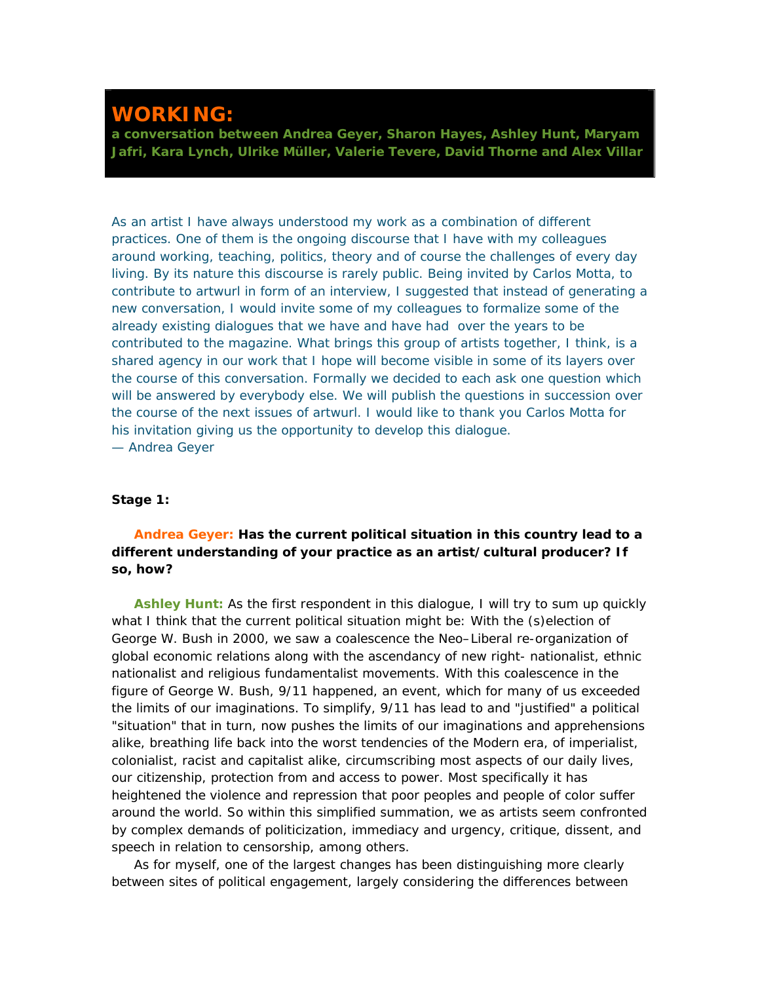## **WORKING:**

**a conversation between Andrea Geyer, Sharon Hayes, Ashley Hunt, Maryam Jafri, Kara Lynch, Ulrike Müller, Valerie Tevere, David Thorne and Alex Villar**

*As an artist I have always understood my work as a combination of different practices. One of them is the ongoing discourse that I have with my colleagues around working, teaching, politics, theory and of course the challenges of every day living. By its nature this discourse is rarely public. Being invited by Carlos Motta, to contribute to artwurl in form of an interview, I suggested that instead of generating a new conversation, I would invite some of my colleagues to formalize some of the already existing dialogues that we have and have had over the years to be contributed to the magazine. What brings this group of artists together, I think, is a shared agency in our work that I hope will become visible in some of its layers over the course of this conversation. Formally we decided to each ask one question which will be answered by everybody else. We will publish the questions in succession over the course of the next issues of artwurl. I would like to thank you Carlos Motta for his invitation giving us the opportunity to develop this dialogue. — Andrea Geyer*

## **Stage 1:**

## **Andrea Geyer: Has the current political situation in this country lead to a different understanding of your practice as an artist/cultural producer? If so, how?**

**Ashley Hunt:** As the first respondent in this dialogue, I will try to sum up quickly what I think that the current political situation might be: With the (s)election of George W. Bush in 2000, we saw a coalescence the Neo–Liberal re-organization of global economic relations along with the ascendancy of new right- nationalist, ethnic nationalist and religious fundamentalist movements. With this coalescence in the figure of George W. Bush, 9/11 happened, an event, which for many of us exceeded the limits of our imaginations. To simplify, 9/11 has lead to and "justified" a political "situation" that in turn, now pushes the limits of our imaginations and apprehensions alike, breathing life back into the worst tendencies of the Modern era, of imperialist, colonialist, racist and capitalist alike, circumscribing most aspects of our daily lives, our citizenship, protection from and access to power. Most specifically it has heightened the violence and repression that poor peoples and people of color suffer around the world. So within this simplified summation, we as artists seem confronted by complex demands of politicization, immediacy and urgency, critique, dissent, and speech in relation to censorship, among others.

As for myself, one of the largest changes has been distinguishing more clearly between sites of political engagement, largely considering the differences between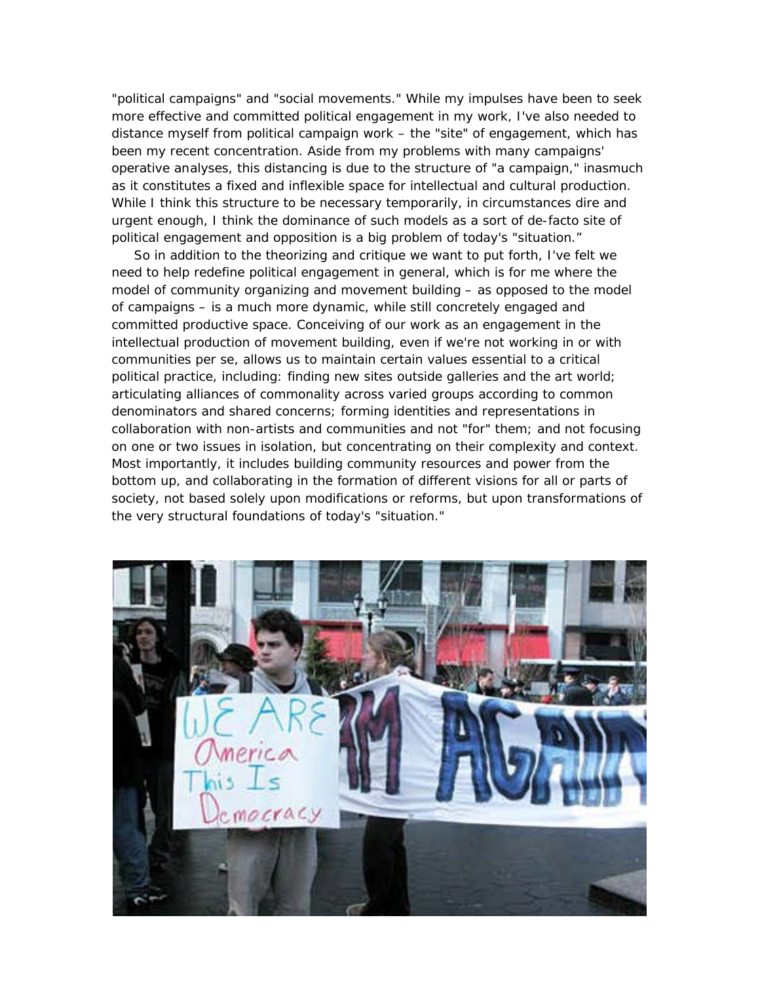"political campaigns" and "social movements." While my impulses have been to seek more effective and committed political engagement in my work, I've also needed to distance myself from political campaign work – the "site" of engagement, which has been my recent concentration. Aside from my problems with many campaigns' operative analyses, this distancing is due to the structure of "a campaign," inasmuch as it constitutes a fixed and inflexible space for intellectual and cultural production. While I think this structure to be necessary temporarily, in circumstances dire and urgent enough, I think the dominance of such models as a sort of de-facto site of political engagement and opposition is a big problem of today's "situation."

So in addition to the theorizing and critique we want to put forth, I've felt we need to help redefine political engagement in general, which is for me where the model of community organizing and movement building – as opposed to the model of campaigns – is a much more dynamic, while still concretely engaged and committed productive space. Conceiving of our work as an engagement in the intellectual production of movement building, even if we're not working in or with communities per se, allows us to maintain certain values essential to a critical political practice, including: finding new sites outside galleries and the art world; articulating alliances of commonality across varied groups according to common denominators and shared concerns; forming identities and representations in collaboration with non-artists and communities and not "for" them; and not focusing on one or two issues in isolation, but concentrating on their complexity and context. Most importantly, it includes building community resources and power from the bottom up, and collaborating in the formation of different visions for all or parts of society, not based solely upon modifications or reforms, but upon transformations of the very structural foundations of today's "situation."

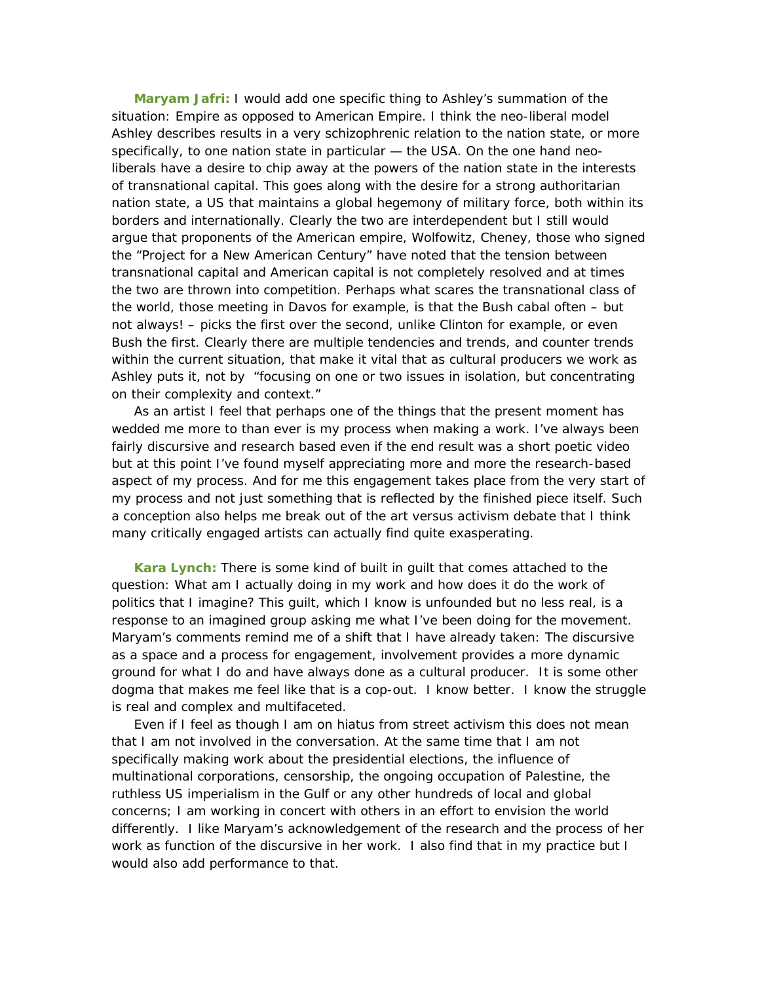**Maryam Jafri:** I would add one specific thing to Ashley's summation of the situation: Empire as opposed to American Empire. I think the neo-liberal model Ashley describes results in a very schizophrenic relation to the nation state, or more specifically, to one nation state in particular — the USA. On the one hand neoliberals have a desire to chip away at the powers of the nation state in the interests of transnational capital. This goes along with the desire for a strong authoritarian nation state, a US that maintains a global hegemony of military force, both within its borders and internationally. Clearly the two are interdependent but I still would argue that proponents of the American empire, Wolfowitz, Cheney, those who signed the "Project for a New American Century" have noted that the tension between transnational capital and American capital is not completely resolved and at times the two are thrown into competition. Perhaps what scares the transnational class of the world, those meeting in Davos for example, is that the Bush cabal often – but not always! – picks the first over the second, unlike Clinton for example, or even Bush the first. Clearly there are multiple tendencies and trends, and counter trends within the current situation, that make it vital that as cultural producers we work as Ashley puts it, not by "focusing on one or two issues in isolation, but concentrating on their complexity and context."

As an artist I feel that perhaps one of the things that the present moment has wedded me more to than ever is my process when making a work. I've always been fairly discursive and research based even if the end result was a short poetic video but at this point I've found myself appreciating more and more the research-based aspect of my process. And for me this engagement takes place from the very start of my process and not just something that is reflected by the finished piece itself. Such a conception also helps me break out of the art versus activism debate that I think many critically engaged artists can actually find quite exasperating.

**Kara Lynch:** There is some kind of built in guilt that comes attached to the question: What am I actually doing in my work and how does it do the work of politics that I imagine? This guilt, which I know is unfounded but no less real, is a response to an imagined group asking me what I've been doing for the movement. Maryam's comments remind me of a shift that I have already taken: The discursive as a space and a process for engagement, involvement provides a more dynamic ground for what I do and have always done as a cultural producer. It is some other dogma that makes me feel like that is a cop-out. I know better. I know the struggle is real and complex and multifaceted.

Even if I feel as though I am on hiatus from street activism this does not mean that I am not involved in the conversation. At the same time that I am not specifically making work about the presidential elections, the influence of multinational corporations, censorship, the ongoing occupation of Palestine, the ruthless US imperialism in the Gulf or any other hundreds of local and global concerns; I am working in concert with others in an effort to envision the world differently. I like Maryam's acknowledgement of the research and the process of her work as function of the discursive in her work. I also find that in my practice but I would also add performance to that.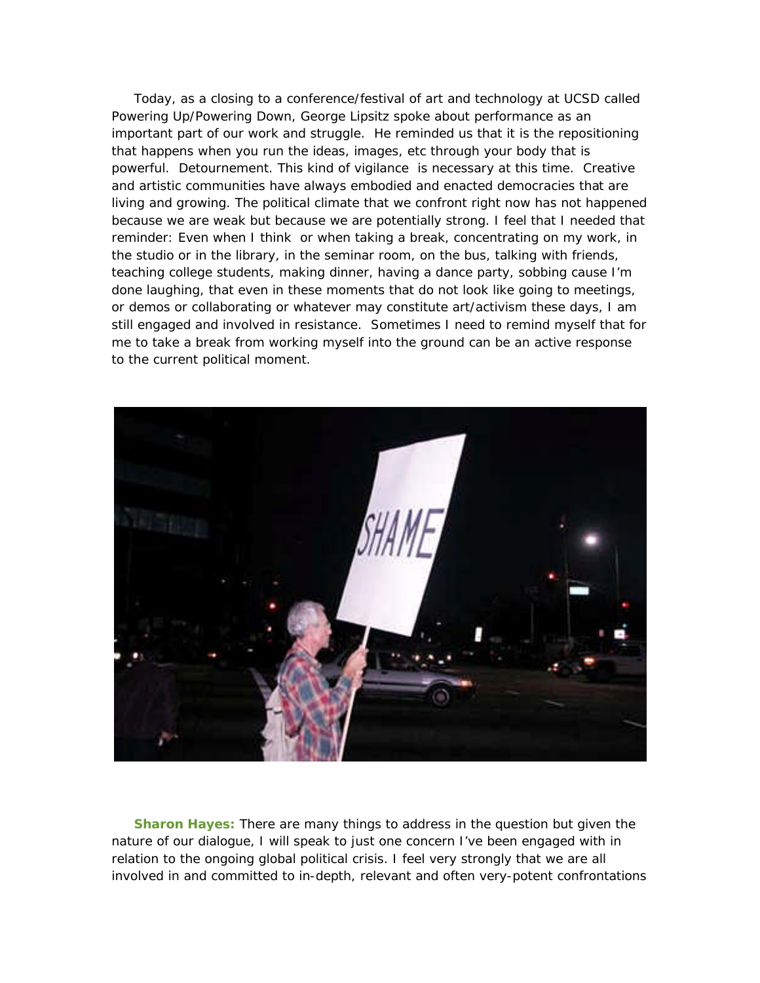Today, as a closing to a conference/festival of art and technology at UCSD called Powering Up/Powering Down, George Lipsitz spoke about performance as an important part of our work and struggle. He reminded us that it is the repositioning that happens when you run the ideas, images, etc through your body that is powerful. Detournement. This kind of vigilance is necessary at this time. Creative and artistic communities have always embodied and enacted democracies that are living and growing. The political climate that we confront right now has not happened because we are weak but because we are potentially strong. I feel that I needed that reminder: Even when I think or when taking a break, concentrating on my work, in the studio or in the library, in the seminar room, on the bus, talking with friends, teaching college students, making dinner, having a dance party, sobbing cause I'm done laughing, that even in these moments that do not look like going to meetings, or demos or collaborating or whatever may constitute art/activism these days, I am still engaged and involved in resistance. Sometimes I need to remind myself that for me to take a break from working myself into the ground can be an active response to the current political moment.



**Sharon Hayes:** There are many things to address in the question but given the nature of our dialogue, I will speak to just one concern I've been engaged with in relation to the ongoing global political crisis. I feel very strongly that we are all involved in and committed to in-depth, relevant and often very-potent confrontations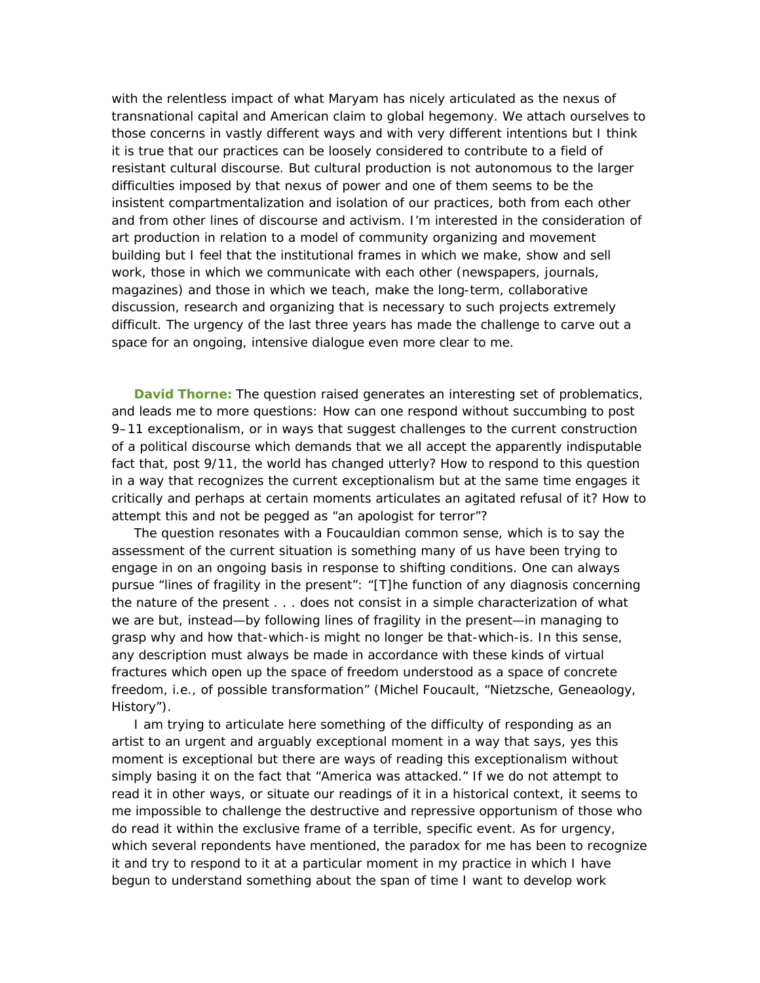with the relentless impact of what Maryam has nicely articulated as the nexus of transnational capital and American claim to global hegemony. We attach ourselves to those concerns in vastly different ways and with very different intentions but I think it is true that our practices can be loosely considered to contribute to a field of resistant cultural discourse. But cultural production is not autonomous to the larger difficulties imposed by that nexus of power and one of them seems to be the insistent compartmentalization and isolation of our practices, both from each other and from other lines of discourse and activism. I'm interested in the consideration of art production in relation to a model of community organizing and movement building but I feel that the institutional frames in which we make, show and sell work, those in which we communicate with each other (newspapers, journals, magazines) and those in which we teach, make the long-term, collaborative discussion, research and organizing that is necessary to such projects extremely difficult. The urgency of the last three years has made the challenge to carve out a space for an ongoing, intensive dialogue even more clear to me.

**David Thorne:** The question raised generates an interesting set of problematics, and leads me to more questions: How can one respond without succumbing to post 9–11 exceptionalism, or in ways that suggest challenges to the current construction of a political discourse which demands that we all accept the apparently indisputable fact that, post 9/11, the world has changed utterly? How to respond to this question in a way that recognizes the current exceptionalism but at the same time engages it critically and perhaps at certain moments articulates an agitated refusal of it? How to attempt this and not be pegged as "an apologist for terror"?

The question resonates with a Foucauldian common sense, which is to say the assessment of the current situation is something many of us have been trying to engage in on an ongoing basis in response to shifting conditions. One can always pursue "lines of fragility in the present": "[T]he function of any diagnosis concerning the nature of the present . . . does not consist in a simple characterization of what we are but, instead—by following lines of fragility in the present—in managing to grasp why and how that-which-is might no longer be that-which-is. In this sense, any description must always be made in accordance with these kinds of virtual fractures which open up the space of freedom understood as a space of concrete freedom, i.e., of possible transformation" (Michel Foucault, "Nietzsche, Geneaology, History").

I am trying to articulate here something of the difficulty of responding as an artist to an urgent and arguably exceptional moment in a way that says, yes this moment is exceptional but there are ways of reading this exceptionalism without simply basing it on the fact that "America was attacked." If we do not attempt to read it in other ways, or situate our readings of it in a historical context, it seems to me impossible to challenge the destructive and repressive opportunism of those who do read it within the exclusive frame of a terrible, specific event. As for urgency, which several repondents have mentioned, the paradox for me has been to recognize it and try to respond to it at a particular moment in my practice in which I have begun to understand something about the span of time I want to develop work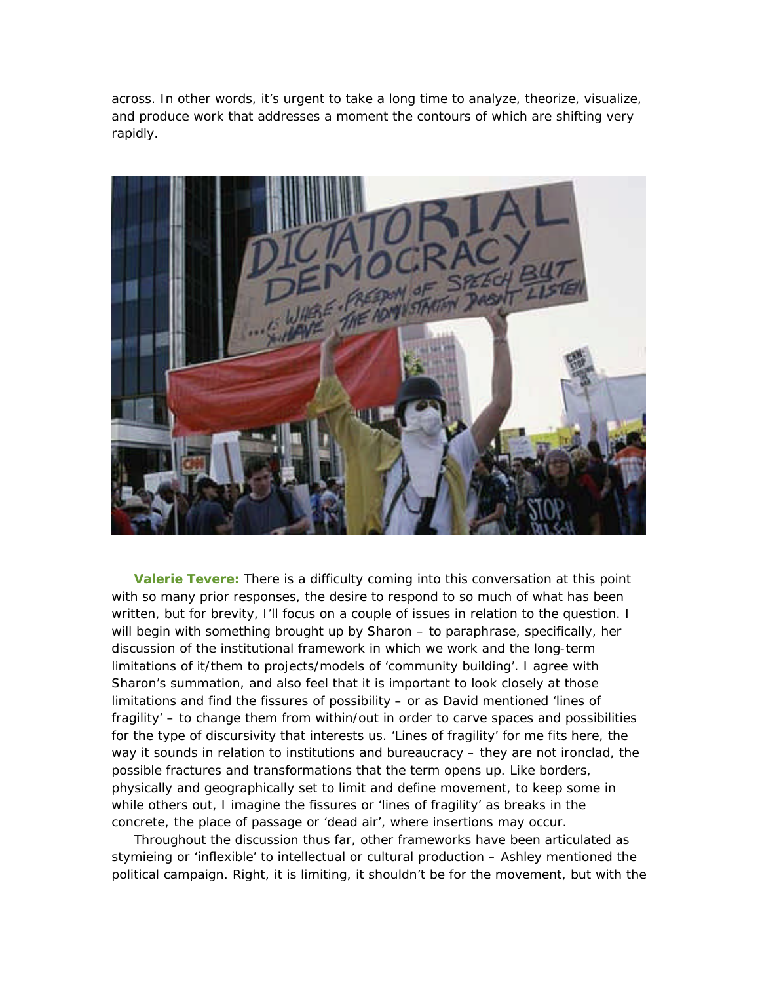across. In other words, it's urgent to take a long time to analyze, theorize, visualize, and produce work that addresses a moment the contours of which are shifting very rapidly.



**Valerie Tevere:** There is a difficulty coming into this conversation at this point with so many prior responses, the desire to respond to so much of what has been written, but for brevity, I'll focus on a couple of issues in relation to the question. I will begin with something brought up by Sharon – to paraphrase, specifically, her discussion of the institutional framework in which we work and the long-term limitations of it/them to projects/models of 'community building'. I agree with Sharon's summation, and also feel that it is important to look closely at those limitations and find the fissures of possibility – or as David mentioned 'lines of fragility' – to change them from within/out in order to carve spaces and possibilities for the type of discursivity that interests us. 'Lines of fragility' for me fits here, the way it sounds in relation to institutions and bureaucracy – they are not ironclad, the possible fractures and transformations that the term opens up. Like borders, physically and geographically set to limit and define movement, to keep some in while others out, I imagine the fissures or 'lines of fragility' as breaks in the concrete, the place of passage or 'dead air', where insertions may occur.

Throughout the discussion thus far, other frameworks have been articulated as stymieing or 'inflexible' to intellectual or cultural production – Ashley mentioned the political campaign. Right, it is limiting, it shouldn't be for the movement, but with the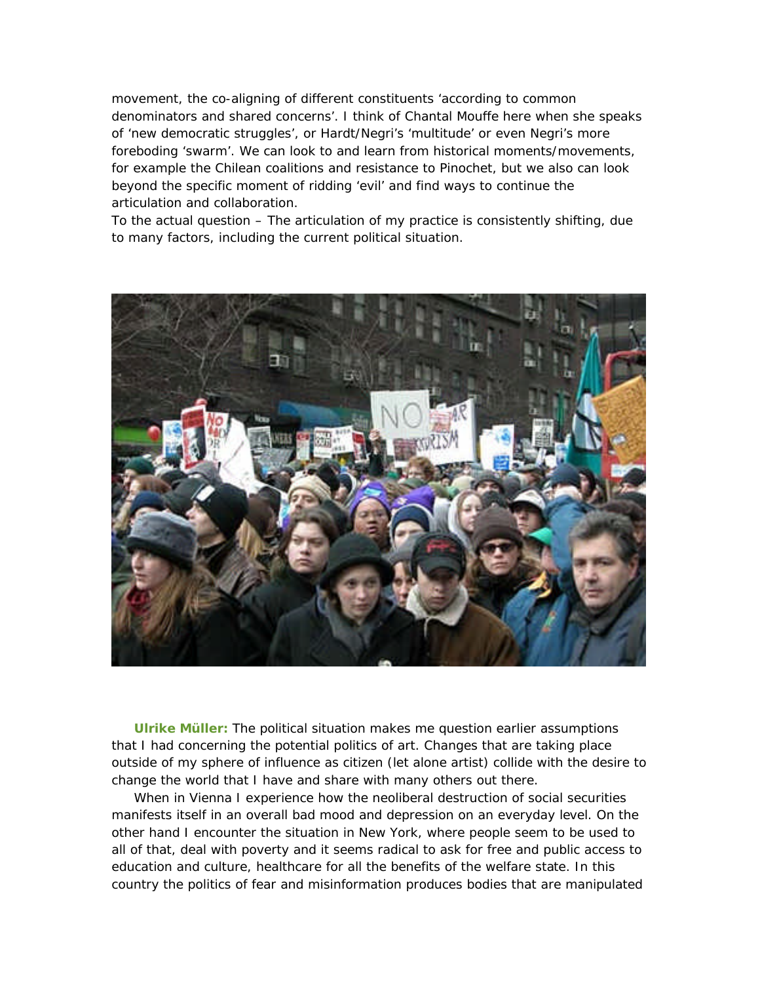movement, the co-aligning of different constituents 'according to common denominators and shared concerns'. I think of Chantal Mouffe here when she speaks of 'new democratic struggles', or Hardt/Negri's 'multitude' or even Negri's more foreboding 'swarm'. We can look to and learn from historical moments/movements, for example the Chilean coalitions and resistance to Pinochet, but we also can look beyond the specific moment of ridding 'evil' and find ways to continue the articulation and collaboration.

To the actual question – The articulation of my practice is consistently shifting, due to many factors, including the current political situation.



**Ulrike Müller:** The political situation makes me question earlier assumptions that I had concerning the potential politics of art. Changes that are taking place outside of my sphere of influence as citizen (let alone artist) collide with the desire to change the world that I have and share with many others out there.

When in Vienna I experience how the neoliberal destruction of social securities manifests itself in an overall bad mood and depression on an everyday level. On the other hand I encounter the situation in New York, where people seem to be used to all of that, deal with poverty and it seems radical to ask for free and public access to education and culture, healthcare for all the benefits of the welfare state. In this country the politics of fear and misinformation produces bodies that are manipulated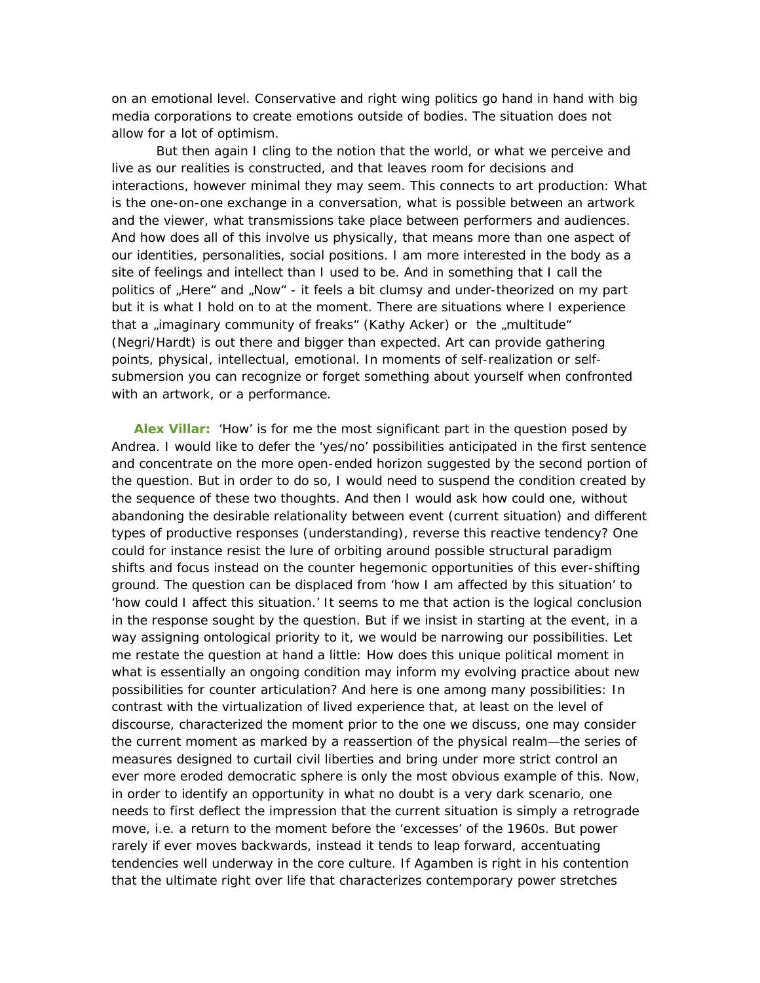on an emotional level. Conservative and right wing politics go hand in hand with big media corporations to create emotions outside of bodies. The situation does not allow for a lot of optimism.

But then again I cling to the notion that the world, or what we perceive and live as our realities is constructed, and that leaves room for decisions and interactions, however minimal they may seem. This connects to art production: What is the one-on-one exchange in a conversation, what is possible between an artwork and the viewer, what transmissions take place between performers and audiences. And how does all of this involve us physically, that means more than one aspect of our identities, personalities, social positions. I am more interested in the body as a site of feelings and intellect than I used to be. And in something that I call the politics of "Here" and "Now" - it feels a bit clumsy and under-theorized on my part but it is what I hold on to at the moment. There are situations where I experience that a "imaginary community of freaks" (Kathy Acker) or the "multitude" (Negri/Hardt) is out there and bigger than expected. Art can provide gathering points, physical, intellectual, emotional. In moments of self-realization or selfsubmersion you can recognize or forget something about yourself when confronted with an artwork, or a performance.

**Alex Villar:** 'How' is for me the most significant part in the question posed by Andrea. I would like to defer the 'yes/no' possibilities anticipated in the first sentence and concentrate on the more open-ended horizon suggested by the second portion of the question. But in order to do so, I would need to suspend the condition created by the sequence of these two thoughts. And then I would ask how could one, without abandoning the desirable relationality between event (current situation) and different types of productive responses (understanding), reverse this reactive tendency? One could for instance resist the lure of orbiting around possible structural paradigm shifts and focus instead on the counter hegemonic opportunities of this ever-shifting ground. The question can be displaced from 'how I am affected by this situation' to 'how could I affect this situation.' It seems to me that action is the logical conclusion in the response sought by the question. But if we insist in starting at the event, in a way assigning ontological priority to it, we would be narrowing our possibilities. Let me restate the question at hand a little: How does this unique political moment in what is essentially an ongoing condition may inform my evolving practice about new possibilities for counter articulation? And here is one among many possibilities: In contrast with the virtualization of lived experience that, at least on the level of discourse, characterized the moment prior to the one we discuss, one may consider the current moment as marked by a reassertion of the physical realm—the series of measures designed to curtail civil liberties and bring under more strict control an ever more eroded democratic sphere is only the most obvious example of this. Now, in order to identify an opportunity in what no doubt is a very dark scenario, one needs to first deflect the impression that the current situation is simply a retrograde move, i.e. a return to the moment before the 'excesses' of the 1960s. But power rarely if ever moves backwards, instead it tends to leap forward, accentuating tendencies well underway in the core culture. If Agamben is right in his contention that the ultimate right over life that characterizes contemporary power stretches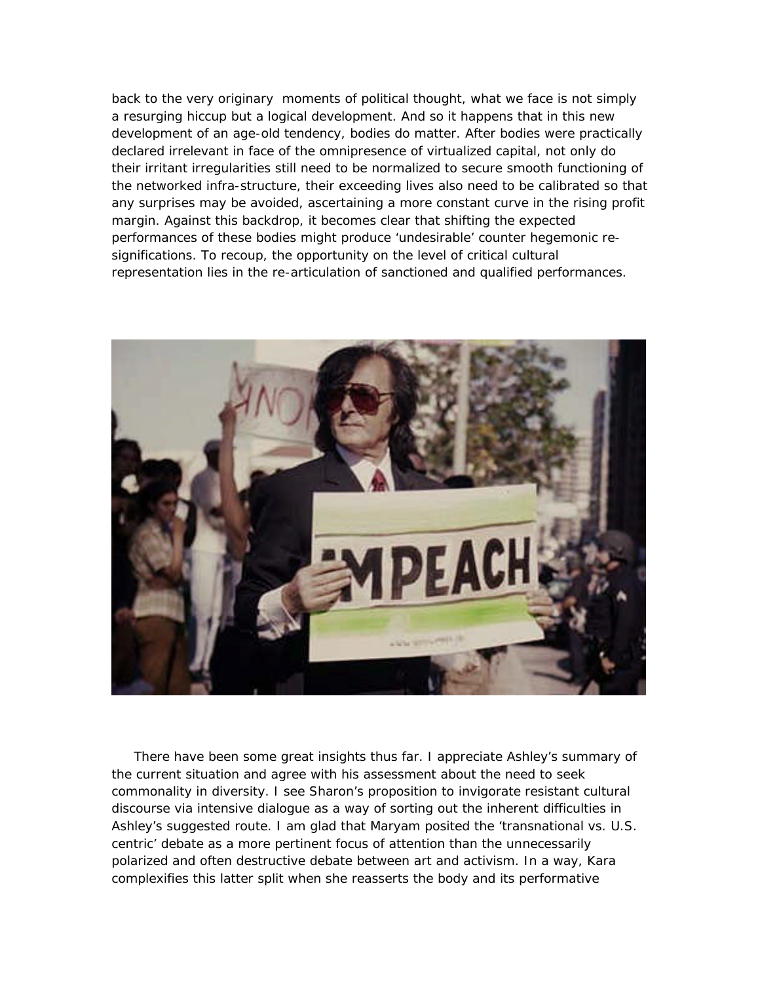back to the very originary moments of political thought, what we face is not simply a resurging hiccup but a logical development. And so it happens that in this new development of an age-old tendency, bodies do matter. After bodies were practically declared irrelevant in face of the omnipresence of virtualized capital, not only do their irritant irregularities still need to be normalized to secure smooth functioning of the networked infra-structure, their exceeding lives also need to be calibrated so that any surprises may be avoided, ascertaining a more constant curve in the rising profit margin. Against this backdrop, it becomes clear that shifting the expected performances of these bodies might produce 'undesirable' counter hegemonic resignifications. To recoup, the opportunity on the level of critical cultural representation lies in the re-articulation of sanctioned and qualified performances.



There have been some great insights thus far. I appreciate Ashley's summary of the current situation and agree with his assessment about the need to seek commonality in diversity. I see Sharon's proposition to invigorate resistant cultural discourse via intensive dialogue as a way of sorting out the inherent difficulties in Ashley's suggested route. I am glad that Maryam posited the 'transnational vs. U.S. centric' debate as a more pertinent focus of attention than the unnecessarily polarized and often destructive debate between art and activism. In a way, Kara complexifies this latter split when she reasserts the body and its performative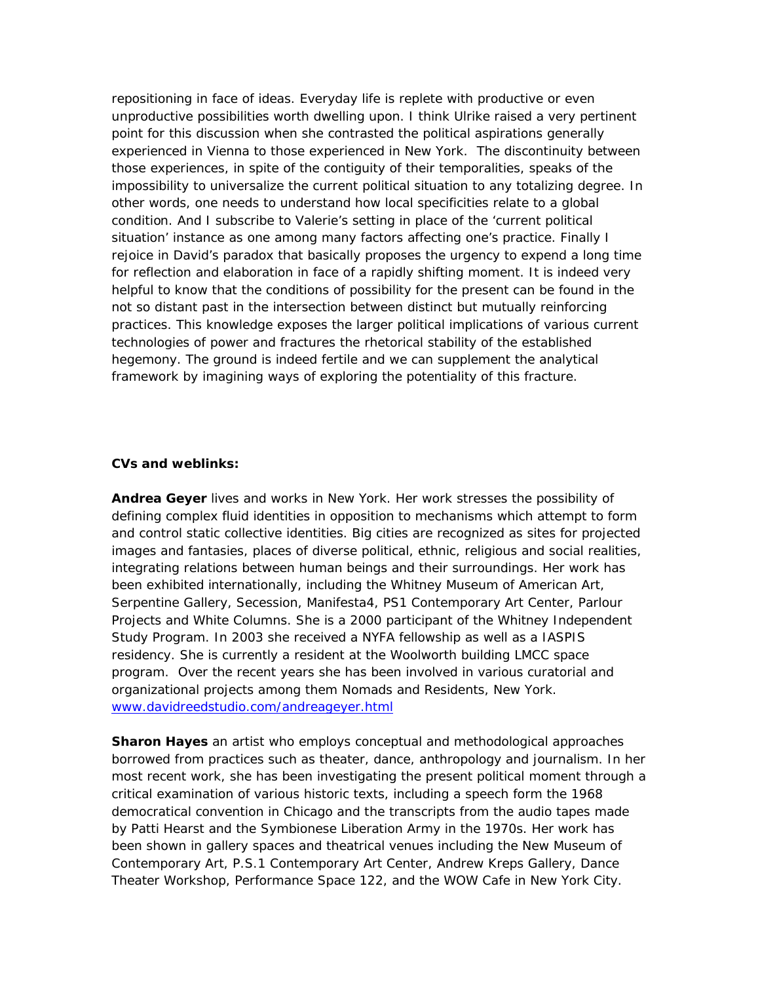repositioning in face of ideas. Everyday life is replete with productive or even unproductive possibilities worth dwelling upon. I think Ulrike raised a very pertinent point for this discussion when she contrasted the political aspirations generally experienced in Vienna to those experienced in New York. The discontinuity between those experiences, in spite of the contiguity of their temporalities, speaks of the impossibility to universalize the current political situation to any totalizing degree. In other words, one needs to understand how local specificities relate to a global condition. And I subscribe to Valerie's setting in place of the 'current political situation' instance as one among many factors affecting one's practice. Finally I rejoice in David's paradox that basically proposes the urgency to expend a long time for reflection and elaboration in face of a rapidly shifting moment. It is indeed very helpful to know that the conditions of possibility for the present can be found in the not so distant past in the intersection between distinct but mutually reinforcing practices. This knowledge exposes the larger political implications of various current technologies of power and fractures the rhetorical stability of the established hegemony. The ground is indeed fertile and we can supplement the analytical framework by imagining ways of exploring the potentiality of this fracture.

## **CVs and weblinks:**

**Andrea Geyer** lives and works in New York. Her work stresses the possibility of defining complex fluid identities in opposition to mechanisms which attempt to form and control static collective identities. Big cities are recognized as sites for projected images and fantasies, places of diverse political, ethnic, religious and social realities, integrating relations between human beings and their surroundings. Her work has been exhibited internationally, including the Whitney Museum of American Art, Serpentine Gallery, Secession, Manifesta4, PS1 Contemporary Art Center, Parlour Projects and White Columns. She is a 2000 participant of the Whitney Independent Study Program. In 2003 she received a NYFA fellowship as well as a IASPIS residency. She is currently a resident at the Woolworth building LMCC space program. Over the recent years she has been involved in various curatorial and organizational projects among them Nomads and Residents, New York. www.davidreedstudio.com/andreageyer.html

**Sharon Hayes** an artist who employs conceptual and methodological approaches borrowed from practices such as theater, dance, anthropology and journalism. In her most recent work, she has been investigating the present political moment through a critical examination of various historic texts, including a speech form the 1968 democratical convention in Chicago and the transcripts from the audio tapes made by Patti Hearst and the Symbionese Liberation Army in the 1970s. Her work has been shown in gallery spaces and theatrical venues including the New Museum of Contemporary Art, P.S.1 Contemporary Art Center, Andrew Kreps Gallery, Dance Theater Workshop, Performance Space 122, and the WOW Cafe in New York City.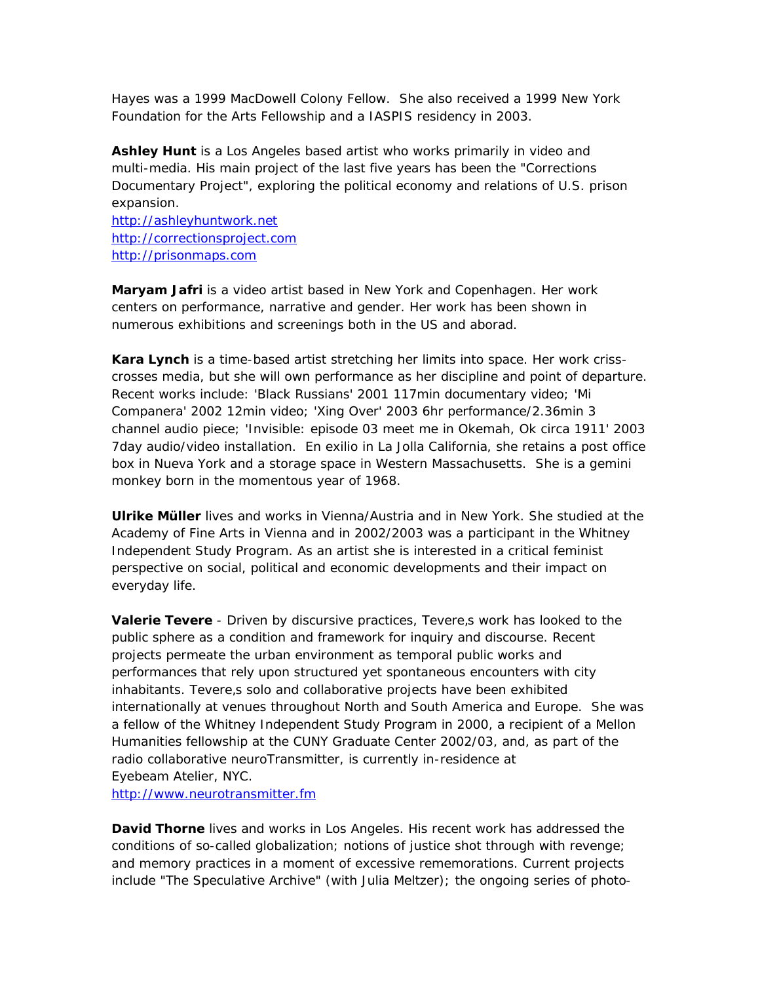Hayes was a 1999 MacDowell Colony Fellow. She also received a 1999 New York Foundation for the Arts Fellowship and a IASPIS residency in 2003.

**Ashley Hunt** is a Los Angeles based artist who works primarily in video and multi-media. His main project of the last five years has been the "Corrections Documentary Project", exploring the political economy and relations of U.S. prison expansion.

http://ashleyhuntwork.net http://correctionsproject.com http://prisonmaps.com

**Maryam Jafri** is a video artist based in New York and Copenhagen. Her work centers on performance, narrative and gender. Her work has been shown in numerous exhibitions and screenings both in the US and aborad.

**Kara Lynch** is a time-based artist stretching her limits into space. Her work crisscrosses media, but she will own performance as her discipline and point of departure. Recent works include: 'Black Russians' 2001 117min documentary video; 'Mi Companera' 2002 12min video; 'Xing Over' 2003 6hr performance/2.36min 3 channel audio piece; 'Invisible: episode 03 meet me in Okemah, Ok circa 1911' 2003 7day audio/video installation. En exilio in La Jolla California, she retains a post office box in Nueva York and a storage space in Western Massachusetts. She is a gemini monkey born in the momentous year of 1968.

**Ulrike Müller** lives and works in Vienna/Austria and in New York. She studied at the Academy of Fine Arts in Vienna and in 2002/2003 was a participant in the Whitney Independent Study Program. As an artist she is interested in a critical feminist perspective on social, political and economic developments and their impact on everyday life.

**Valerie Tevere** - Driven by discursive practices, Tevere, s work has looked to the public sphere as a condition and framework for inquiry and discourse. Recent projects permeate the urban environment as temporal public works and performances that rely upon structured yet spontaneous encounters with city inhabitants. Tevere,s solo and collaborative projects have been exhibited internationally at venues throughout North and South America and Europe. She was a fellow of the Whitney Independent Study Program in 2000, a recipient of a Mellon Humanities fellowship at the CUNY Graduate Center 2002/03, and, as part of the radio collaborative neuroTransmitter, is currently in-residence at Eyebeam Atelier, NYC.

http://www.neurotransmitter.fm

**David Thorne** lives and works in Los Angeles. His recent work has addressed the conditions of so-called globalization; notions of justice shot through with revenge; and memory practices in a moment of excessive rememorations. Current projects include "The Speculative Archive" (with Julia Meltzer); the ongoing series of photo-